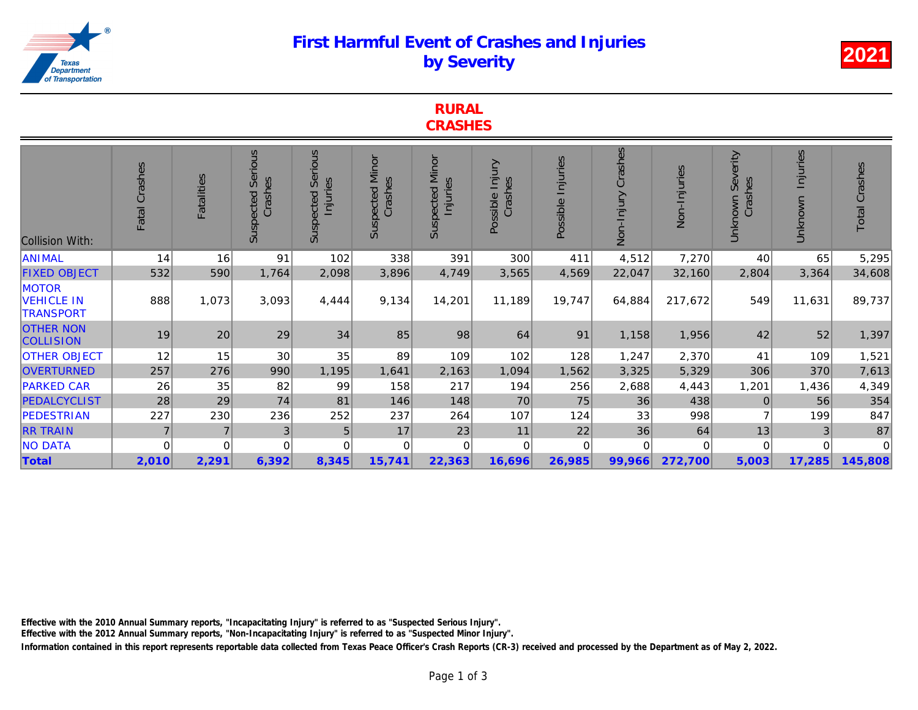## First Harmful Event of Crashes and Injuries by Severity

|                                                       | <b>CRASHES</b> |                   |                                        |                                         |                                   |                                    |                            |                   |                       |              |  |
|-------------------------------------------------------|----------------|-------------------|----------------------------------------|-----------------------------------------|-----------------------------------|------------------------------------|----------------------------|-------------------|-----------------------|--------------|--|
| <b>Collision With:</b>                                | Fatal Crashes  | <b>Fatalities</b> | <b>Serious</b><br>Crashes<br>Suspected | <b>Serious</b><br>Injuries<br>Suspected | <b>Suspected Minor</b><br>Crashes | <b>Suspected Minor</b><br>Injuries | Possible Injury<br>Crashes | Possible Injuries | Crashes<br>Non-Injury | Non-Injuries |  |
| <b>ANIMAL</b>                                         | 14             | 16                | 91                                     | 102                                     | 338                               | 391                                | 300                        | 411               | 4,512                 | 7,270        |  |
| <b>FIXED OBJECT</b>                                   | 532            | 590               | 1,764                                  | 2,098                                   | 3,896                             | 4,749                              | 3,565                      | 4,569             | 22,047                | 32,160       |  |
| <b>MOTOR</b><br><b>VEHICLE IN</b><br><b>TRANSPORT</b> | 888            | 1,073             | 3,093                                  | 4,444                                   | 9,134                             | 14,201                             | 11,189                     | 19,747            | 64,884                | 217,672      |  |
| <b>OTHER NON</b><br><b>COLLISION</b>                  | 19             | 20                | 29                                     | 34                                      | 85                                | 98                                 | 64                         | 91                | 1,158                 | 1,956        |  |
| <b>OTHER OBJECT</b>                                   | 12             | 15                | 30                                     | 35                                      | 89                                | 109                                | 102                        | 128               | 1,247                 | 2,370        |  |
| <b>OVERTURNED</b>                                     | 257            | 276               | 990                                    | 1,195                                   | 1,641                             | 2,163                              | 1,094                      | 1,562             | 3,325                 | 5,329        |  |
| <b>PARKED CAR</b>                                     | 26             | 35                | 82                                     | 99                                      | 158                               | 217                                | 194                        | 256               | 2,688                 | 4,443        |  |
| <b>PEDALCYCLIST</b>                                   | 28             | 29                | 74                                     | 81                                      | 146                               | 148                                | 70                         | 75                | 36                    | 438          |  |
| <b>PEDESTRIAN</b>                                     | 227            | 230               | 236                                    | 252                                     | 237                               | 264                                | 107                        | 124               | 33                    | 998          |  |
| <b>RR TRAIN</b>                                       | $\overline{7}$ |                   | 3 <sub>l</sub>                         | 5                                       | 17                                | 23                                 | 11                         | 22                | 36                    | 64           |  |
| <b>NO DATA</b>                                        | $\mathbf 0$    | 0                 | 0                                      | 0                                       | 0                                 | $\overline{0}$                     | 0                          | 0                 | 0                     | 0            |  |
| <b>Total</b>                                          | 2,010          | 2,291             | 6,392                                  | 8,345                                   | 15,741                            | 22,363                             | 16,696                     | 26,985            | 99,966                | 272,700      |  |

**RURAL** 

Effective with the 2010 Annual Summary reports, "Incapacitating Injury" is referred to as "Suspected Serious Injury".

Effective with the 2012 Annual Summary reports, "Non-Incapacitating Injury" is referred to as "Suspected Minor Injury".

Information contained in this report represents reportable data collected from Texas Peace Officer's Crash Reports (CR-3) received and processed by the Department a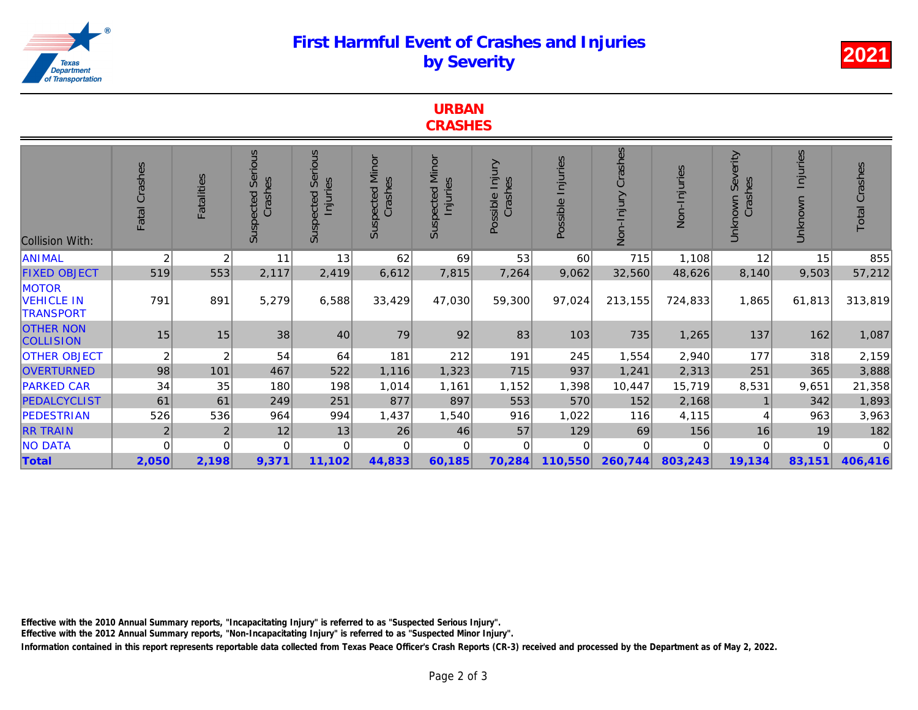## First Harmful Event of Crashes and Injuries by Severity

| <b>URBAN</b>   |  |
|----------------|--|
| <b>CRASHES</b> |  |

| <b>Collision With:</b>                                | Fatal Crashes  | Fatalities     | <b>Serious</b><br>Crashes<br>Suspected | Serious<br>Injuries<br>Suspected | <b>Suspected Minor</b><br>Crashes | <b>Suspected Minor</b><br>Injuries | Injury<br>Crashes<br>Possible | Possible Injuries | Crashes<br>Non-Injury | Non-Injuries |
|-------------------------------------------------------|----------------|----------------|----------------------------------------|----------------------------------|-----------------------------------|------------------------------------|-------------------------------|-------------------|-----------------------|--------------|
| <b>ANIMAL</b>                                         | $\overline{c}$ | 2              | 11                                     | 13                               | 62                                | 69                                 | 53                            | 60                | 715                   | 1,108        |
| <b>FIXED OBJECT</b>                                   | 519            | 553            | 2,117                                  | 2,419                            | 6,612                             | 7,815                              | 7,264                         | 9,062             | 32,560                | 48,626       |
| <b>MOTOR</b><br><b>VEHICLE IN</b><br><b>TRANSPORT</b> | 791            | 891            | 5,279                                  | 6,588                            | 33,429                            | 47,030                             | 59,300                        | 97,024            | 213,155               | 724,833      |
| <b>OTHER NON</b><br><b>COLLISION</b>                  | 15             | 15             | 38                                     | 40                               | 79                                | 92                                 | 83                            | 103               | 735                   | 1,265        |
| <b>OTHER OBJECT</b>                                   | $\overline{c}$ | 2              | 54                                     | 64                               | 181                               | 212                                | 191                           | 245               | 1,554                 | 2,940        |
| <b>OVERTURNED</b>                                     | 98             | 101            | 467                                    | 522                              | 1,116                             | 1,323                              | 715                           | 937               | 1,241                 | 2,313        |
| <b>PARKED CAR</b>                                     | 34             | 35             | 180                                    | 198                              | 1,014                             | 1,161                              | 1,152                         | 1,398             | 10,447                | 15,719       |
| PEDALCYCLIST                                          | 61             | 61             | 249                                    | 251                              | 877                               | 897                                | 553                           | 570               | 152                   | 2,168        |
| PEDESTRIAN                                            | 526            | 536            | 964                                    | 994                              | 1,437                             | 1,540                              | 916                           | 1,022             | 116                   | 4,115        |
| <b>RR TRAIN</b>                                       | $\overline{2}$ | $\overline{2}$ | 12                                     | 13                               | 26                                | 46                                 | 57                            | 129               | 69                    | 156          |
| <b>NO DATA</b>                                        | $\mathbf{0}$   | $\Omega$       | $\Omega$                               | 0                                | $\Omega$                          | 0                                  | $\Omega$                      | $\Omega$          | $\Omega$              | 0            |
| Total                                                 | 2,050          | 2,198          | 9,371                                  | 11,102                           | 44,833                            | 60,185                             | 70,284                        | 110,550           | 260,744               | 803,243      |

Effective with the 2010 Annual Summary reports, "Incapacitating Injury" is referred to as "Suspected Serious Injury".

Effective with the 2012 Annual Summary reports, "Non-Incapacitating Injury" is referred to as "Suspected Minor Injury".

Information contained in this report represents reportable data collected from Texas Peace Officer's Crash Reports (CR-3) received and processed by the Department a